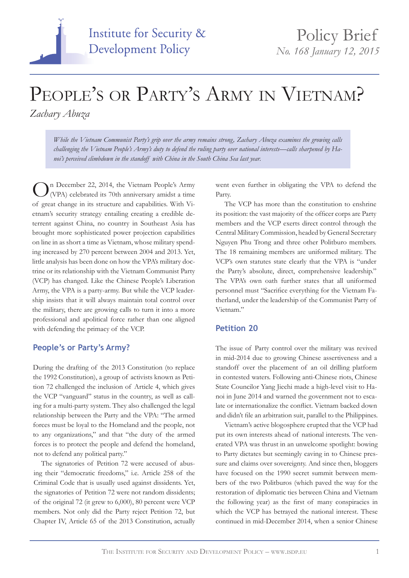# **Institute for Security & Development Policy**

## PEOPLE'S OR PARTY'S ARMY IN VIETNAM?

*Zachary Abuza*

*While the Vietnam Communist Party's grip over the army remains strong, Zachary Abuza examines the growing calls challenging the Vietnam People's Army's duty to defend the ruling party over national interests—calls sharpened by Hanoi's perceived climbdown in the standoff with China in the South China Sea last year.*

n December 22, 2014, the Vietnam People's Army (VPA) celebrated its 70th anniversary amidst a time of great change in its structure and capabilities. With Vietnam's security strategy entailing creating a credible deterrent against China, no country in Southeast Asia has brought more sophisticated power projection capabilities on line in as short a time as Vietnam, whose military spending increased by 270 percent between 2004 and 2013. Yet, little analysis has been done on how the VPA's military doctrine or its relationship with the Vietnam Communist Party (VCP) has changed. Like the Chinese People's Liberation Army, the VPA is a party-army. But while the VCP leadership insists that it will always maintain total control over the military, there are growing calls to turn it into a more professional and apolitical force rather than one aligned with defending the primacy of the VCP.

### **People's or Party's Army?**

During the drafting of the 2013 Constitution (to replace the 1992 Constitution), a group of activists known as Petition 72 challenged the inclusion of Article 4, which gives the VCP "vanguard" status in the country, as well as calling for a multi-party system. They also challenged the legal relationship between the Party and the VPA: "The armed forces must be loyal to the Homeland and the people, not to any organizations," and that "the duty of the armed forces is to protect the people and defend the homeland, not to defend any political party."

The signatories of Petition 72 were accused of abusing their "democratic freedoms," i.e. Article 258 of the Criminal Code that is usually used against dissidents. Yet, the signatories of Petition 72 were not random dissidents; of the original 72 (it grew to 6,000), 80 percent were VCP members. Not only did the Party reject Petition 72, but Chapter IV, Article 65 of the 2013 Constitution, actually went even further in obligating the VPA to defend the Party.

The VCP has more than the constitution to enshrine its position: the vast majority of the officer corps are Party members and the VCP exerts direct control through the Central Military Commission, headed by General Secretary Nguyen Phu Trong and three other Politburo members. The 18 remaining members are uniformed military. The VCP's own statutes state clearly that the VPA is "under the Party's absolute, direct, comprehensive leadership." The VPA's own oath further states that all uniformed personnel must "Sacrifice everything for the Vietnam Fatherland, under the leadership of the Communist Party of Vietnam."

#### **Petition 20**

The issue of Party control over the military was revived in mid-2014 due to growing Chinese assertiveness and a standoff over the placement of an oil drilling platform in contested waters. Following anti-Chinese riots, Chinese State Councilor Yang Jiechi made a high-level visit to Hanoi in June 2014 and warned the government not to escalate or internationalize the conflict. Vietnam backed down and didn't file an arbitration suit, parallel to the Philippines.

Vietnam's active blogosphere erupted that the VCP had put its own interests ahead of national interests. The venerated VPA was thrust in an unwelcome spotlight: bowing to Party dictates but seemingly caving in to Chinese pressure and claims over sovereignty. And since then, bloggers have focused on the 1990 secret summit between members of the two Politburos (which paved the way for the restoration of diplomatic ties between China and Vietnam the following year) as the first of many conspiracies in which the VCP has betrayed the national interest. These continued in mid-December 2014, when a senior Chinese